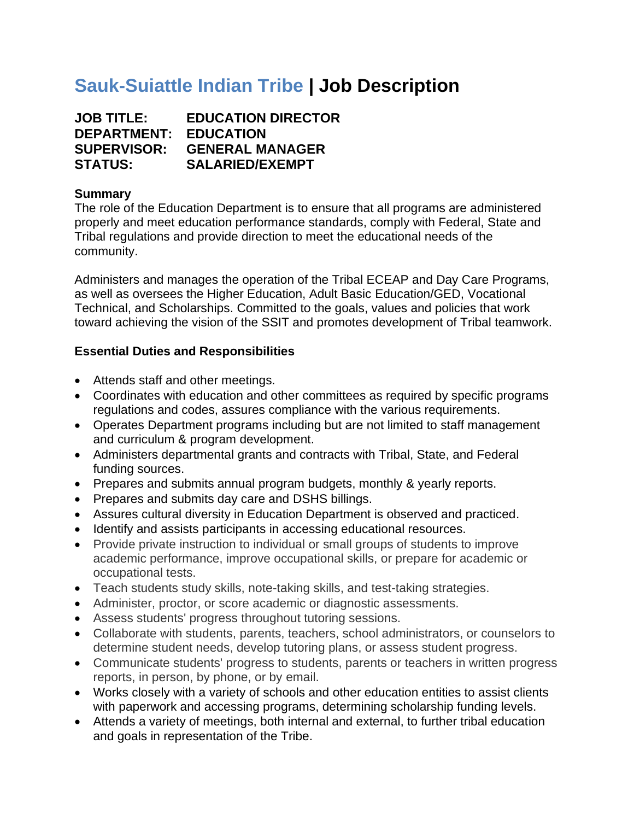# **Sauk-Suiattle Indian Tribe | Job Description**

**JOB TITLE: EDUCATION DIRECTOR DEPARTMENT: EDUCATION SUPERVISOR: GENERAL MANAGER STATUS: SALARIED/EXEMPT**

# **Summary**

The role of the Education Department is to ensure that all programs are administered properly and meet education performance standards, comply with Federal, State and Tribal regulations and provide direction to meet the educational needs of the community.

Administers and manages the operation of the Tribal ECEAP and Day Care Programs, as well as oversees the Higher Education, Adult Basic Education/GED, Vocational Technical, and Scholarships. Committed to the goals, values and policies that work toward achieving the vision of the SSIT and promotes development of Tribal teamwork.

## **Essential Duties and Responsibilities**

- Attends staff and other meetings.
- Coordinates with education and other committees as required by specific programs regulations and codes, assures compliance with the various requirements.
- Operates Department programs including but are not limited to staff management and curriculum & program development.
- Administers departmental grants and contracts with Tribal, State, and Federal funding sources.
- Prepares and submits annual program budgets, monthly & yearly reports.
- Prepares and submits day care and DSHS billings.
- Assures cultural diversity in Education Department is observed and practiced.
- Identify and assists participants in accessing educational resources.
- Provide private instruction to individual or small groups of students to improve academic performance, improve occupational skills, or prepare for academic or occupational tests.
- Teach students study skills, note-taking skills, and test-taking strategies.
- Administer, proctor, or score academic or diagnostic assessments.
- Assess students' progress throughout tutoring sessions.
- Collaborate with students, parents, teachers, school administrators, or counselors to determine student needs, develop tutoring plans, or assess student progress.
- Communicate students' progress to students, parents or teachers in written progress reports, in person, by phone, or by email.
- Works closely with a variety of schools and other education entities to assist clients with paperwork and accessing programs, determining scholarship funding levels.
- Attends a variety of meetings, both internal and external, to further tribal education and goals in representation of the Tribe.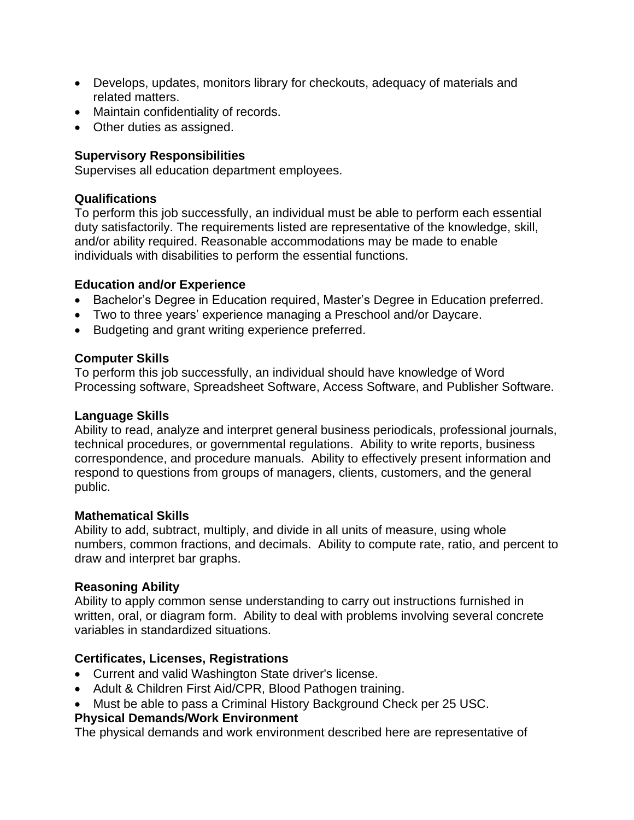- Develops, updates, monitors library for checkouts, adequacy of materials and related matters.
- Maintain confidentiality of records.
- Other duties as assigned.

## **Supervisory Responsibilities**

Supervises all education department employees.

#### **Qualifications**

To perform this job successfully, an individual must be able to perform each essential duty satisfactorily. The requirements listed are representative of the knowledge, skill, and/or ability required. Reasonable accommodations may be made to enable individuals with disabilities to perform the essential functions.

#### **Education and/or Experience**

- Bachelor's Degree in Education required, Master's Degree in Education preferred.
- Two to three years' experience managing a Preschool and/or Daycare.
- Budgeting and grant writing experience preferred.

## **Computer Skills**

To perform this job successfully, an individual should have knowledge of Word Processing software, Spreadsheet Software, Access Software, and Publisher Software.

#### **Language Skills**

Ability to read, analyze and interpret general business periodicals, professional journals, technical procedures, or governmental regulations. Ability to write reports, business correspondence, and procedure manuals. Ability to effectively present information and respond to questions from groups of managers, clients, customers, and the general public.

#### **Mathematical Skills**

Ability to add, subtract, multiply, and divide in all units of measure, using whole numbers, common fractions, and decimals. Ability to compute rate, ratio, and percent to draw and interpret bar graphs.

# **Reasoning Ability**

Ability to apply common sense understanding to carry out instructions furnished in written, oral, or diagram form. Ability to deal with problems involving several concrete variables in standardized situations.

# **Certificates, Licenses, Registrations**

- Current and valid Washington State driver's license.
- Adult & Children First Aid/CPR, Blood Pathogen training.
- Must be able to pass a Criminal History Background Check per 25 USC.

# **Physical Demands/Work Environment**

The physical demands and work environment described here are representative of